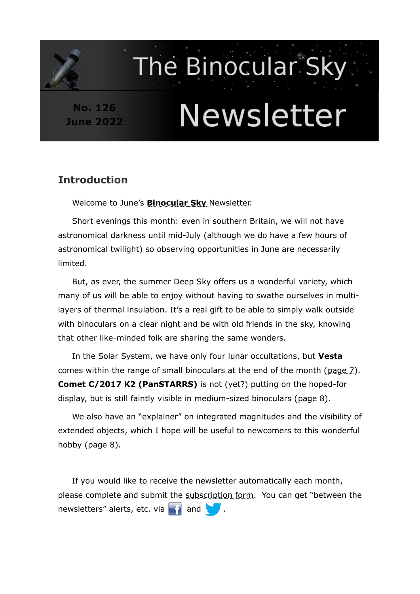# **No. 126 June 2022**

# Newsletter

The Binocular Sky

# **Introduction**

Welcome to June's **[Binocular Sky](http://binocularsky.com/)** Newsletter.

Short evenings this month: even in southern Britain, we will not have astronomical darkness until mid-July (although we do have a few hours of astronomical twilight) so observing opportunities in June are necessarily limited.

But, as ever, the summer Deep Sky offers us a wonderful variety, which many of us will be able to enjoy without having to swathe ourselves in multilayers of thermal insulation. It's a real gift to be able to simply walk outside with binoculars on a clear night and be with old friends in the sky, knowing that other like-minded folk are sharing the same wonders.

In the Solar System, we have only four lunar occultations, but **Vesta** comes within the range of small binoculars at the end of the month [\( page 7](#page-6-0)). **Comet C/2017 K2 (PanSTARRS)** is not (yet?) putting on the hoped-for display, but is still faintly visible in medium-sized binoculars (page 8).

We also have an "explainer" on integrated magnitudes and the visibility of extended objects, which I hope will be useful to newcomers to this wonderful hobby ([page 8\)](#page-7-0).

If you would like to receive the newsletter automatically each month, please complete and submit the [subscription form.](http://binocularsky.com/newsletter_subscribe.php) You can get "between the newsletters" alerts, etc. via  $\blacksquare$  and  $\blacksquare$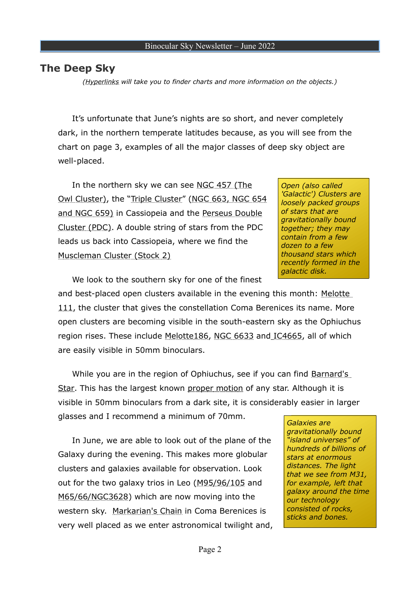## <span id="page-1-0"></span>**The Deep Sky**

*(Hyperlinks will take you to finder charts and more information on the objects.)*

It's unfortunate that June's nights are so short, and never completely dark, in the northern temperate latitudes because, as you will see from the chart on page 3, examples of all the major classes of deep sky object are well-placed.

In the northern sky we can see [NGC 457 \(The](http://binocularsky.com/binoc_object_file.php?object_id=NGC457&aperture=100) [Owl Cluster\),](http://binocularsky.com/binoc_object_file.php?object_id=NGC457&aperture=100) the ["Triple Cluster](http://binocularsky.com/binoc_object_file.php?object_id=NGC654&aperture=70)" ( [NGC 663](http://binocularsky.com/binoc_object_file.php?object_id=NGC654&aperture=70) , NGC 654 and NGC 659) in Cassiopeia and the [Perseus Double](http://binocularsky.com/binoc_object_file.php?object_id=Double&aperture=100)  [Cluster](http://binocularsky.com/binoc_object_file.php?object_id=Double&aperture=100) (PDC). A double string of stars from the PDC leads us back into Cassiopeia, where we find the [Muscleman Cluster \(Stock 2\)](http://binocularsky.com/binoc_object_file.php?object_id=Stock2&aperture=70)

*Open (also called 'Galactic') Clusters are loosely packed groups of stars that are gravitationally bound together; they may contain from a few dozen to a few thousand stars which recently formed in the galactic disk.* 

We look to the southern sky for one of the finest

and best-placed open clusters available in the evening this month: Melotte [111](http://binocularsky.com/binoc_object_file.php?object_id=Mel111&aperture=50), the cluster that gives the constellation Coma Berenices its name. More open clusters are becoming visible in the south-eastern sky as the Ophiuchus region rises. These include Melotte186, [NGC 6633](http://binocularsky.com/binoc_object_file.php?object_id=NGC6633&aperture=100) and [IC4665](http://binocularsky.com/binoc_object_file.php?object_id=IC4665&aperture=100), all of which are easily visible in 50mm binoculars.

While you are in the region of Ophiuchus, see if you can find [Barnard's](http://binocularsky.com/binoc_object_file.php?object_id=Barnard&aperture=100) [Star](http://binocularsky.com/binoc_object_file.php?object_id=Barnard&aperture=100). This has the largest known [proper motion](http://astunit.com/astunit_tutorial.php?topic=glossary#P) of any star. Although it is visible in 50mm binoculars from a dark site, it is considerably easier in larger glasses and I recommend a minimum of 70mm.

In June, we are able to look out of the plane of the Galaxy during the evening. This makes more globular clusters and galaxies available for observation. Look out for the two galaxy trios in Leo ([M95/96/105](http://binocularsky.com/binoc_object_file.php?object_id=M95&aperture=100) and [M65/66/NGC3628](http://binocularsky.com/binoc_object_file.php?object_id=M65&aperture=100)) which are now moving into the western sky. [Markarian's Chain](http://binocularsky.com/binoc_object_file.php?object_id=Markarian&aperture=100) in Coma Berenices is very well placed as we enter astronomical twilight and,

*Galaxies are gravitationally bound "island universes" of hundreds of billions of stars at enormous distances. The light that we see from M31, for example, left that galaxy around the time our technology consisted of rocks, sticks and bones.*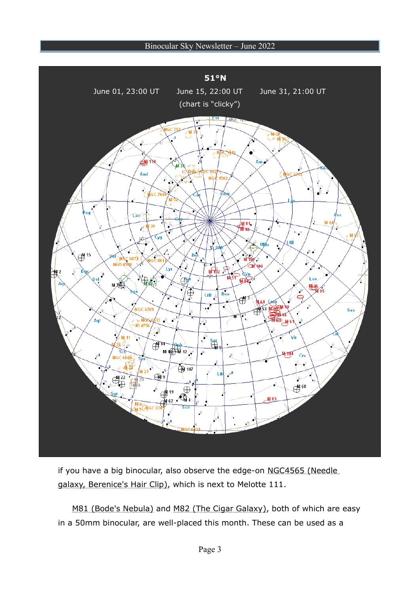

if you have a big binocular, also observe the edge-on NGC4565 (Needle galaxy, Berenice's Hair Clip), which is next to [Melotte 111](http://binocularsky.com/binoc_object_file.php?object_id=Mel111&aperture=70).

M81 (Bode's Nebula) and M82 (The Cigar Galaxy), both of which are easy in a 50mm binocular, are well-placed this month. These can be used as a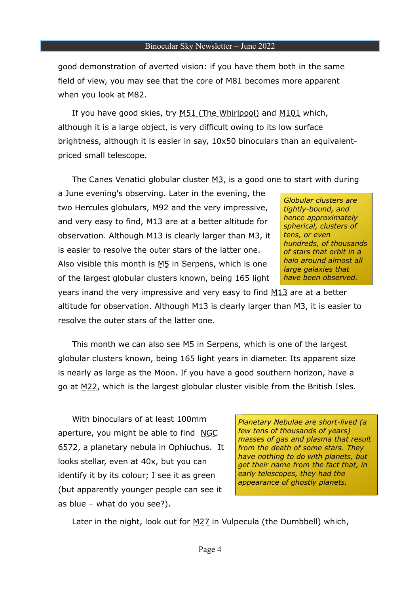good demonstration of averted vision: if you have them both in the same field of view, you may see that the core of M81 becomes more apparent when you look at M82.

If you have good skies, try M51 (The Whirlpool) and [M101](http://binocularsky.com/binoc_object_file.php?object_id=M101&aperture=100) which, although it is a large object, is very difficult owing to its low surface brightness, although it is easier in say, 10x50 binoculars than an equivalentpriced small telescope.

The Canes Venatici globular cluster  $M_3$ , is a good one to start with during

a June evening's observing. Later in the evening, the two Hercules globulars, [M92](http://binocularsky.com/binoc_object_file.php?object_id=M92&aperture=100) and the very impressive, and very easy to find, [M13](http://binocularsky.com/binoc_object_file.php?object_id=M13&aperture=100) are at a better altitude for observation. Although M13 is clearly larger than M3, it is easier to resolve the outer stars of the latter one. Also visible this month is [M5](http://binocularsky.com/binoc_object_file.php?object_id=M5&aperture=100) in Serpens, which is one of the largest globular clusters known, being 165 light

*Globular clusters are tightly-bound, and hence approximately spherical, clusters of tens, or even hundreds, of thousands of stars that orbit in a halo around almost all large galaxies that have been observed.* 

years inand the very impressive and very easy to find [M13](http://binocularsky.com/binoc_object_file.php?object_id=M13&aperture=100) are at a better altitude for observation. Although M13 is clearly larger than M3, it is easier to resolve the outer stars of the latter one.

This month we can also see [M5](http://binocularsky.com/binoc_object_file.php?object_id=M5&aperture=100) in Serpens, which is one of the largest globular clusters known, being 165 light years in diameter. Its apparent size is nearly as large as the Moon. If you have a good southern horizon, have a go at [M22,](http://binocularsky.com/binoc_object_file.php?object_id=M22&aperture=100) which is the largest globular cluster visible from the British Isles.

With binoculars of at least 100mm aperture, you might be able to find [NGC](http://binocularsky.com/binoc_object_file.php?object_id=NGC6572&aperture=100) [6572](http://binocularsky.com/binoc_object_file.php?object_id=NGC6572&aperture=100), a planetary nebula in Ophiuchus. It looks stellar, even at 40x, but you can identify it by its colour; I see it as green (but apparently younger people can see it as blue – what do you see?).

*Planetary Nebulae are short-lived (a few tens of thousands of years) masses of gas and plasma that result from the death of some stars. They have nothing to do with planets, but get their name from the fact that, in early telescopes, they had the appearance of ghostly planets.*

Later in the night, look out for [M27](https://binocularsky.com/binoc_object_file.php?object_id=M27&aperture=50) in Vulpecula (the Dumbbell) which,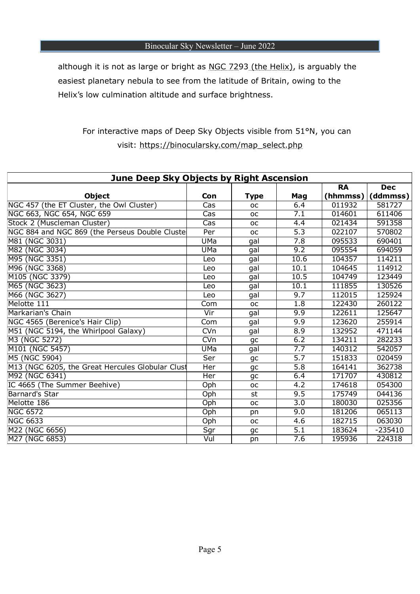although it is not as large or bright as [NGC 7293 \(the Helix\)](https://binocularsky.com/binoc_object_file.php?object_id=NGC7293&aperture=100), is arguably the easiest planetary nebula to see from the latitude of Britain, owing to the Helix's low culmination altitude and surface brightness.

# For interactive maps of Deep Sky Objects visible from 51°N, you can visit: https://binocularsky.com/map\_select.php

| June Deep Sky Objects by Right Ascension         |                                |             |                  |           |            |
|--------------------------------------------------|--------------------------------|-------------|------------------|-----------|------------|
|                                                  |                                |             |                  | <b>RA</b> | <b>Dec</b> |
| <b>Object</b>                                    | Con                            | <b>Type</b> | Mag              | (hhmmss)  | (ddmmss)   |
| NGC 457 (the ET Cluster, the Owl Cluster)        | Cas                            | <b>OC</b>   | 6.4              | 011932    | 581727     |
| NGC 663, NGC 654, NGC 659                        | Cas                            | <b>OC</b>   | $\overline{7.1}$ | 014601    | 611406     |
| Stock 2 (Muscleman Cluster)                      | Cas                            | <b>OC</b>   | 4.4              | 021434    | 591358     |
| NGC 884 and NGC 869 (the Perseus Double Cluste   | Per                            | <b>OC</b>   | $\overline{5.3}$ | 022107    | 570802     |
| M81 (NGC 3031)                                   | UMa                            | gal         | 7.8              | 095533    | 690401     |
| M82 (NGC 3034)                                   | <b>UMa</b>                     | gal         | 9.2              | 095554    | 694059     |
| M95 (NGC 3351)                                   | Leo                            | gal         | 10.6             | 104357    | 114211     |
| M96 (NGC 3368)                                   | Leo                            | gal         | 10.1             | 104645    | 114912     |
| M105 (NGC 3379)                                  | Leo                            | gal         | 10.5             | 104749    | 123449     |
| M65 (NGC 3623)                                   | Leo                            | gal         | 10.1             | 111855    | 130526     |
| M66 (NGC 3627)                                   | Leo                            | gal         | 9.7              | 112015    | 125924     |
| Melotte 111                                      | Com                            | <b>OC</b>   | 1.8              | 122430    | 260122     |
| Markarian's Chain                                | Vir                            | gal         | 9.9              | 122611    | 125647     |
| NGC 4565 (Berenice's Hair Clip)                  | Com                            | gal         | 9.9              | 123620    | 255914     |
| M51 (NGC 5194, the Whirlpool Galaxy)             | $\overline{\text{C}}\text{Vn}$ | gal         | $\overline{8.9}$ | 132952    | 471144     |
| M3 (NGC 5272)                                    | <b>CVn</b>                     | gc          | 6.2              | 134211    | 282233     |
| M101 (NGC 5457)                                  | UMa                            | gal         | 7.7              | 140312    | 542057     |
| M5 (NGC 5904)                                    | Ser                            | gc          | $\overline{5.7}$ | 151833    | 020459     |
| M13 (NGC 6205, the Great Hercules Globular Clust | Her                            | gc          | 5.8              | 164141    | 362738     |
| M92 (NGC 6341)                                   | Her                            | gc          | 6.4              | 171707    | 430812     |
| IC 4665 (The Summer Beehive)                     | Oph                            | <b>OC</b>   | 4.2              | 174618    | 054300     |
| Barnard's Star                                   | Oph                            | st          | 9.5              | 175749    | 044136     |
| Melotte 186                                      | Oph                            | <b>OC</b>   | 3.0              | 180030    | 025356     |
| <b>NGC 6572</b>                                  | Oph                            | pn          | 9.0              | 181206    | 065113     |
| <b>NGC 6633</b>                                  | Oph                            | <b>OC</b>   | 4.6              | 182715    | 063030     |
| M22 (NGC 6656)                                   | Sgr                            | gc          | $\overline{5.1}$ | 183624    | $-235410$  |
| M27 (NGC 6853)                                   | Vul                            | pn          | 7.6              | 195936    | 224318     |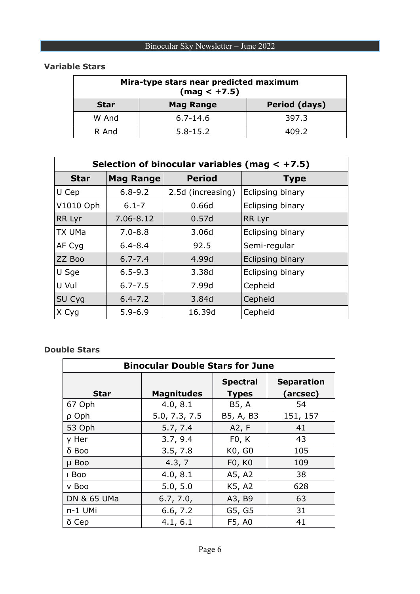| Mira-type stars near predicted maximum<br>$(max < +7.5)$ |                  |               |  |  |
|----------------------------------------------------------|------------------|---------------|--|--|
| <b>Star</b>                                              | <b>Mag Range</b> | Period (days) |  |  |
| W And                                                    | $6.7 - 14.6$     | 397.3         |  |  |
| R And                                                    | $5.8 - 15.2$     | 409.2         |  |  |

## **Variable Stars**

| Selection of binocular variables (mag $< +7.5$ ) |                  |                   |                  |  |  |
|--------------------------------------------------|------------------|-------------------|------------------|--|--|
| <b>Star</b>                                      | <b>Mag Range</b> | <b>Period</b>     | <b>Type</b>      |  |  |
| U Cep                                            | $6.8 - 9.2$      | 2.5d (increasing) | Eclipsing binary |  |  |
| V1010 Oph                                        | $6.1 - 7$        | 0.66d             | Eclipsing binary |  |  |
| RR Lyr                                           | 7.06-8.12        | 0.57d             | RR Lyr           |  |  |
| <b>TX UMa</b>                                    | $7.0 - 8.8$      | 3.06d             | Eclipsing binary |  |  |
| AF Cyg                                           | $6.4 - 8.4$      | 92.5              | Semi-regular     |  |  |
| ZZ Boo                                           | $6.7 - 7.4$      | 4.99d             | Eclipsing binary |  |  |
| U Sge                                            | $6.5 - 9.3$      | 3.38d             | Eclipsing binary |  |  |
| U Vul                                            | $6.7 - 7.5$      | 7.99d             | Cepheid          |  |  |
| SU Cyg                                           | $6.4 - 7.2$      | 3.84d             | Cepheid          |  |  |
| X Cyg                                            | $5.9 - 6.9$      | 16.39d            | Cepheid          |  |  |

#### **Double Stars**

| <b>Binocular Double Stars for June</b> |                   |                                 |                               |  |
|----------------------------------------|-------------------|---------------------------------|-------------------------------|--|
| Star                                   | <b>Magnitudes</b> | <b>Spectral</b><br><b>Types</b> | <b>Separation</b><br>(arcsec) |  |
| 67 Oph                                 | 4.0, 8.1          | B5, A                           | 54                            |  |
| p Oph                                  | 5.0, 7.3, 7.5     | B5, A, B3                       | 151, 157                      |  |
| 53 Oph                                 | 5.7, 7.4          | A2, F                           | 41                            |  |
| y Her                                  | 3.7, 9.4          | F0, K                           | 43                            |  |
| $\delta$ Boo                           | 3.5, 7.8          | K0, G0                          | 105                           |  |
| µ Boo                                  | 4.3, 7            | F0, K0                          | 109                           |  |
| I Boo                                  | 4.0, 8.1          | A5, A2                          | 38                            |  |
| v Boo                                  | 5.0, 5.0          | K5, A2                          | 628                           |  |
| DN & 65 UMa                            | 6.7, 7.0,         | A3, B9                          | 63                            |  |
| n-1 UMi                                | 6.6, 7.2          | G5, G5                          | 31                            |  |
| $\delta$ Cep                           | 4.1, 6.1          | F5, A0                          | 41                            |  |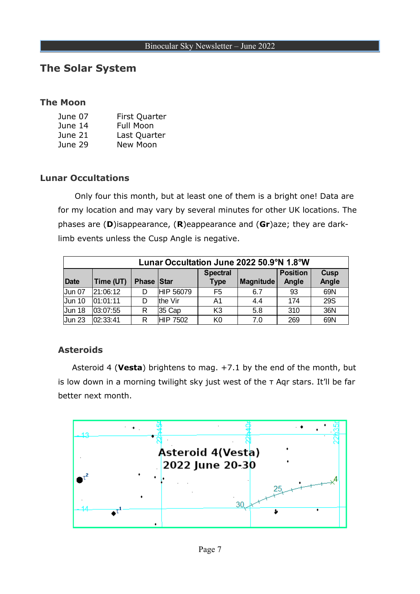# **The Solar System**

## **The Moon**

| June 07 | <b>First Quarter</b> |
|---------|----------------------|
| June 14 | <b>Full Moon</b>     |
| June 21 | Last Quarter         |
| June 29 | New Moon             |

## **Lunar Occultations**

 Only four this month, but at least one of them is a bright one! Data are for my location and may vary by several minutes for other UK locations. The phases are (**D**)isappearance, (**R**)eappearance and (**Gr**)aze; they are darklimb events unless the Cusp Angle is negative.

| Lunar Occultation June 2022 50.9°N 1.8°W |           |                   |                 |                                |                  |                          |                      |
|------------------------------------------|-----------|-------------------|-----------------|--------------------------------|------------------|--------------------------|----------------------|
| <b>Date</b>                              | Time (UT) | <b>Phase Star</b> |                 | <b>Spectral</b><br><b>Type</b> | <b>Magnitude</b> | <b>Position</b><br>Angle | <b>Cusp</b><br>Angle |
| Jun 07                                   | 21:06:12  |                   | HIP 56079       | F <sub>5</sub>                 | 6.7              | 93                       | 69N                  |
| <b>Jun 10</b>                            | 01:01:11  | D                 | the Vir         | A1                             | 4.4              | 174                      | <b>29S</b>           |
| Jun <sub>18</sub>                        | 03:07:55  | R                 | 35 Cap          | K <sub>3</sub>                 | 5.8              | 310                      | 36N                  |
| Jun <sub>23</sub>                        | 02:33:41  | R                 | <b>HIP 7502</b> | K0                             | 7.0              | 269                      | 69N                  |

## <span id="page-6-0"></span>**Asteroids**

Asteroid 4 (**Vesta**) brightens to mag. +7.1 by the end of the month, but is low down in a morning twilight sky just west of the τ Aqr stars. It'll be far better next month.

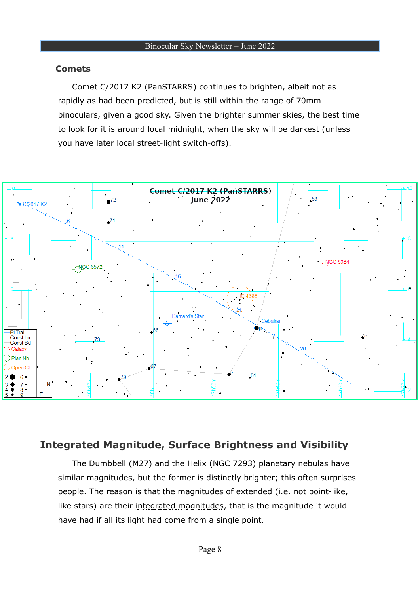## **Comets**

Comet C/2017 K2 (PanSTARRS) continues to brighten, albeit not as rapidly as had been predicted, but is still within the range of 70mm binoculars, given a good sky. Given the brighter summer skies, the best time to look for it is around local midnight, when the sky will be darkest (unless you have later local street-light switch-offs).



# <span id="page-7-0"></span>**Integrated Magnitude, Surface Brightness and Visibility**

The Dumbbell (M27) and the Helix (NGC 7293) planetary nebulas have similar magnitudes, but the former is distinctly brighter; this often surprises people. The reason is that the magnitudes of extended (i.e. not point-like, like stars) are their [integrated magnitudes](https://astunit.com/astunit_tutorial.php?topic=glossary#I), that is the magnitude it would have had if all its light had come from a single point.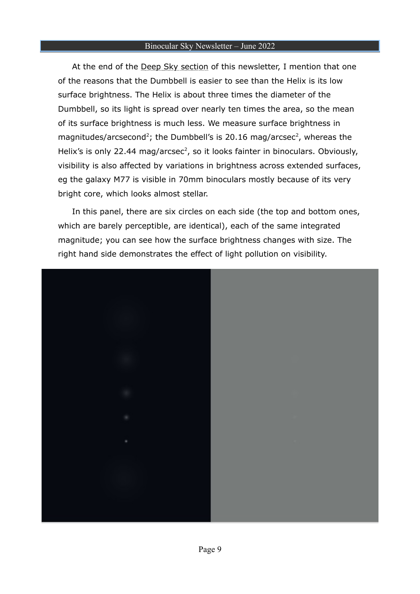At the end of the Deep Sky section of this newsletter, I mention that one of the reasons that the Dumbbell is easier to see than the Helix is its low surface brightness. The Helix is about three times the diameter of the Dumbbell, so its light is spread over nearly ten times the area, so the mean of its surface brightness is much less. We measure surface brightness in magnitudes/arcsecond<sup>2</sup>; the Dumbbell's is 20.16 mag/arcsec<sup>2</sup>, whereas the Helix's is only 22.44 mag/arcsec<sup>2</sup>, so it looks fainter in binoculars. Obviously, visibility is also affected by variations in brightness across extended surfaces, eg the galaxy M77 is visible in 70mm binoculars mostly because of its very bright core, which looks almost stellar.

In this panel, there are six circles on each side (the top and bottom ones, which are barely perceptible, are identical), each of the same integrated magnitude; you can see how the surface brightness changes with size. The right hand side demonstrates the effect of light pollution on visibility.

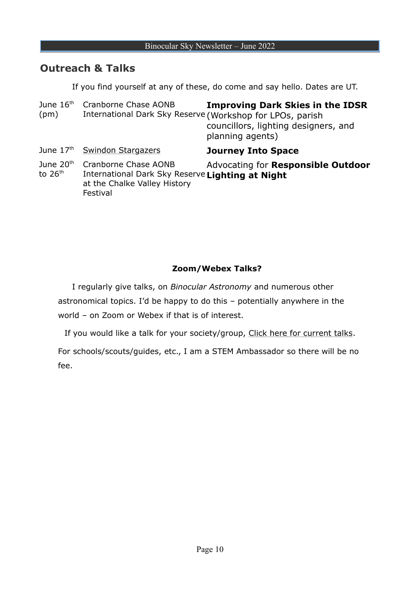# **Outreach & Talks**

If you find yourself at any of these, do come and say hello. Dates are UT.

| June $16th$<br>(pm)                | Cranborne Chase AONB<br>International Dark Sky Reserve (Workshop for LPOs, parish                                    | <b>Improving Dark Skies in the IDSR</b><br>councillors, lighting designers, and<br>planning agents) |
|------------------------------------|----------------------------------------------------------------------------------------------------------------------|-----------------------------------------------------------------------------------------------------|
|                                    | June 17th Swindon Stargazers                                                                                         | <b>Journey Into Space</b>                                                                           |
| June 20 <sup>th</sup><br>to $26th$ | Cranborne Chase AONB<br>International Dark Sky Reserve Lighting at Night<br>at the Chalke Valley History<br>Festival | Advocating for Responsible Outdoor                                                                  |

## **Zoom/Webex Talks?**

I regularly give talks, on *Binocular Astronomy* and numerous other astronomical topics. I'd be happy to do this – potentially anywhere in the world – on Zoom or Webex if that is of interest.

If you would like a talk for your society/group, [Click here for current talks](https://astunit.com/astunit_talks.php?group=AS).

For schools/scouts/guides, etc., I am a STEM Ambassador so there will be no fee.